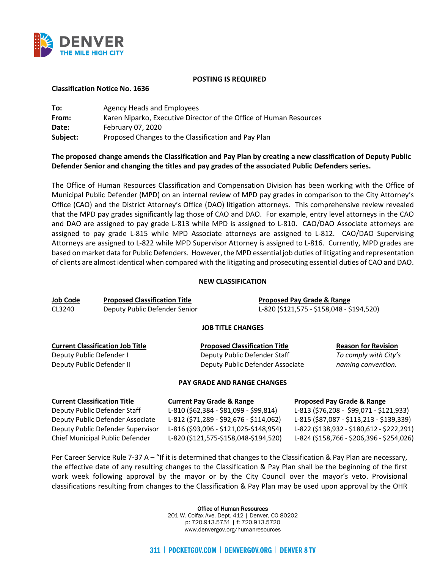

#### **POSTING IS REQUIRED**

#### **Classification Notice No. 1636**

| To:      | Agency Heads and Employees                                         |
|----------|--------------------------------------------------------------------|
| From:    | Karen Niparko, Executive Director of the Office of Human Resources |
| Date:    | February 07, 2020                                                  |
| Subject: | Proposed Changes to the Classification and Pay Plan                |

# **The proposed change amends the Classification and Pay Plan by creating a new classification of Deputy Public Defender Senior and changing the titles and pay grades of the associated Public Defenders series.**

The Office of Human Resources Classification and Compensation Division has been working with the Office of Municipal Public Defender (MPD) on an internal review of MPD pay grades in comparison to the City Attorney's Office (CAO) and the District Attorney's Office (DAO) litigation attorneys. This comprehensive review revealed that the MPD pay grades significantly lag those of CAO and DAO. For example, entry level attorneys in the CAO and DAO are assigned to pay grade L-813 while MPD is assigned to L-810. CAO/DAO Associate attorneys are assigned to pay grade L-815 while MPD Associate attorneys are assigned to L-812. CAO/DAO Supervising Attorneys are assigned to L-822 while MPD Supervisor Attorney is assigned to L-816. Currently, MPD grades are based on market data for Public Defenders. However, the MPD essential job duties of litigating and representation of clients are almost identical when compared with the litigating and prosecuting essential duties of CAO and DAO.

#### **NEW CLASSIFICATION**

| Job Code | <b>Proposed Classification Title</b> | <b>Proposed Pay Grade &amp; Range</b>     |
|----------|--------------------------------------|-------------------------------------------|
| CL3240   | Deputy Public Defender Senior        | L-820 (\$121,575 - \$158,048 - \$194,520) |
|          |                                      | IOD TITLE CUANCES                         |

### **JOB TITLE CHANGES**

| <b>Current Classification Job Title</b> | <b>Proposed Classification Title</b> | <b>Reason for Revision</b> |
|-----------------------------------------|--------------------------------------|----------------------------|
| Deputy Public Defender I                | Deputy Public Defender Staff         | To comply with City's      |
| Deputy Public Defender II               | Deputy Public Defender Associate     | naming convention.         |

#### **PAY GRADE AND RANGE CHANGES**

| <b>Current Classification Title</b> | <b>Current Pay Grade &amp; Range</b>    | <b>Proposed Pay Grade &amp; Range</b>     |
|-------------------------------------|-----------------------------------------|-------------------------------------------|
| Deputy Public Defender Staff        | L-810 (\$62,384 - \$81,099 - \$99,814)  | L-813 (\$76,208 - \$99,071 - \$121,933)   |
| Deputy Public Defender Associate    | L-812 (\$71,289 - \$92,676 - \$114,062) | L-815 (\$87,087 - \$113,213 - \$139,339)  |
| Deputy Public Defender Supervisor   | L-816 (\$93,096 - \$121,025-\$148,954)  | L-822 (\$138,932 - \$180,612 - \$222,291) |
| Chief Municipal Public Defender     | L-820 (\$121,575-\$158,048-\$194,520)   | L-824 (\$158,766 - \$206,396 - \$254,026) |

Per Career Service Rule 7-37 A – "If it is determined that changes to the Classification & Pay Plan are necessary, the effective date of any resulting changes to the Classification & Pay Plan shall be the beginning of the first work week following approval by the mayor or by the City Council over the mayor's veto. Provisional classifications resulting from changes to the Classification & Pay Plan may be used upon approval by the OHR

Office of Human Resources

201 W. Colfax Ave. Dept. 412 | Denver, CO 80202 p: 720.913.5751 | f: 720.913.5720 www.denvergov.org/humanresources